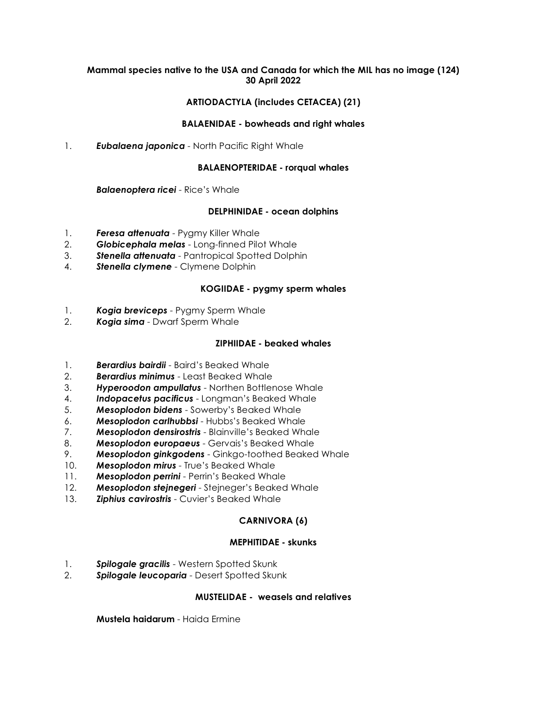#### **Mammal species native to the USA and Canada for which the MIL has no image (124) 30 April 2022**

## **ARTIODACTYLA (includes CETACEA) (21)**

#### **BALAENIDAE - bowheads and right whales**

1. *Eubalaena japonica* - North Pacific Right Whale

#### **BALAENOPTERIDAE - rorqual whales**

*Balaenoptera ricei* - Rice's Whale

## **DELPHINIDAE - ocean dolphins**

- 1. *Feresa attenuata* Pygmy Killer Whale
- 2. *Globicephala melas* Long-finned Pilot Whale
- 3. *Stenella attenuata* Pantropical Spotted Dolphin
- 4. *Stenella clymene* Clymene Dolphin

#### **KOGIIDAE - pygmy sperm whales**

- 1. *Kogia breviceps* Pygmy Sperm Whale
- 2. *Kogia sima* Dwarf Sperm Whale

## **ZIPHIIDAE - beaked whales**

- 1. *Berardius bairdii* Baird's Beaked Whale
- 2. *Berardius minimus* Least Beaked Whale
- 3. *Hyperoodon ampullatus* Northen Bottlenose Whale
- 4. *Indopacetus pacificus* Longman's Beaked Whale
- 5. *Mesoplodon bidens* Sowerby's Beaked Whale
- 6. *Mesoplodon carlhubbsi* Hubbs's Beaked Whale
- 7. *Mesoplodon densirostris* Blainville's Beaked Whale
- 8. *Mesoplodon europaeus* Gervais's Beaked Whale
- 9. *Mesoplodon ginkgodens* Ginkgo-toothed Beaked Whale
- 10. *Mesoplodon mirus* True's Beaked Whale
- 11. *Mesoplodon perrini* Perrin's Beaked Whale
- 12. *Mesoplodon stejnegeri* Stejneger's Beaked Whale
- 13. *Ziphius cavirostris* Cuvier's Beaked Whale

## **CARNIVORA (6)**

#### **MEPHITIDAE - skunks**

- 1. *Spilogale gracilis* Western Spotted Skunk
- 2. *Spilogale leucoparia* Desert Spotted Skunk

#### **MUSTELIDAE - weasels and relatives**

**Mustela haidarum** - Haida Ermine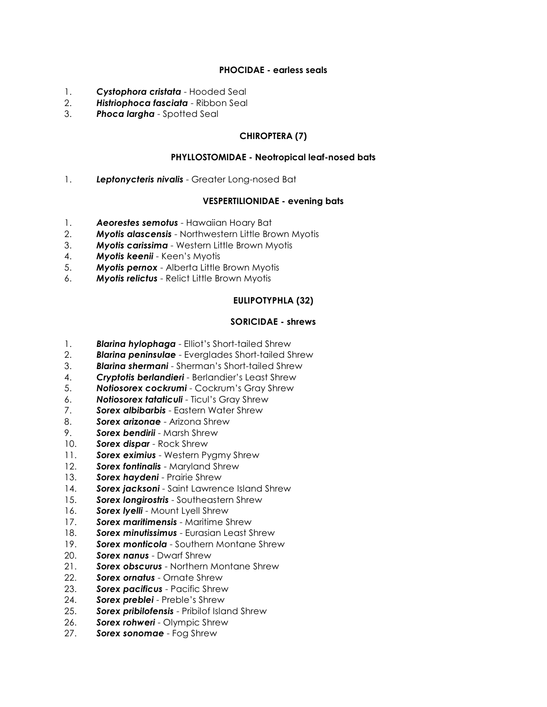#### **PHOCIDAE - earless seals**

- 1. *Cystophora cristata* Hooded Seal
- 2. *Histriophoca fasciata* Ribbon Seal
- 3. *Phoca largha* Spotted Seal

# **CHIROPTERA (7)**

## **PHYLLOSTOMIDAE - Neotropical leaf-nosed bats**

1. *Leptonycteris nivalis* - Greater Long-nosed Bat

#### **VESPERTILIONIDAE - evening bats**

- 1. *Aeorestes semotus* Hawaiian Hoary Bat
- 2. *Myotis alascensis* Northwestern Little Brown Myotis
- 3. *Myotis carissima* Western Little Brown Myotis
- 4. *Myotis keenii* Keen's Myotis
- 5. *Myotis pernox* Alberta Little Brown Myotis
- 6. *Myotis relictus* Relict Little Brown Myotis

## **EULIPOTYPHLA (32)**

#### **SORICIDAE - shrews**

- 1. *Blarina hylophaga* Elliot's Short-tailed Shrew
- 2. *Blarina peninsulae* Everglades Short-tailed Shrew
- 3. *Blarina shermani* Sherman's Short-tailed Shrew
- 4. *Cryptotis berlandieri* Berlandier's Least Shrew
- 5. *Notiosorex cockrumi* Cockrum's Gray Shrew
- 6. *Notiosorex tataticuli* Ticul's Gray Shrew
- 7. *Sorex albibarbis* Eastern Water Shrew
- 8. *Sorex arizonae* Arizona Shrew
- 9. *Sorex bendirii* Marsh Shrew
- 10. *Sorex dispar* Rock Shrew
- 11. *Sorex eximius* Western Pygmy Shrew
- 12. *Sorex fontinalis* Maryland Shrew
- 13. *Sorex haydeni* Prairie Shrew
- 14. *Sorex jacksoni* Saint Lawrence Island Shrew
- 15. *Sorex longirostris* Southeastern Shrew
- 16. *Sorex lyelli* Mount Lyell Shrew
- 17. *Sorex maritimensis* Maritime Shrew
- 18. *Sorex minutissimus* Eurasian Least Shrew
- 19. *Sorex monticola* Southern Montane Shrew
- 20. *Sorex nanus* Dwarf Shrew
- 21. *Sorex obscurus* Northern Montane Shrew
- 22. *Sorex ornatus* Ornate Shrew
- 23. *Sorex pacificus* Pacific Shrew
- 24. *Sorex preblei* Preble's Shrew
- 25. *Sorex pribilofensis* Pribilof Island Shrew
- 26. *Sorex rohweri* Olympic Shrew
- 27. *Sorex sonomae* Fog Shrew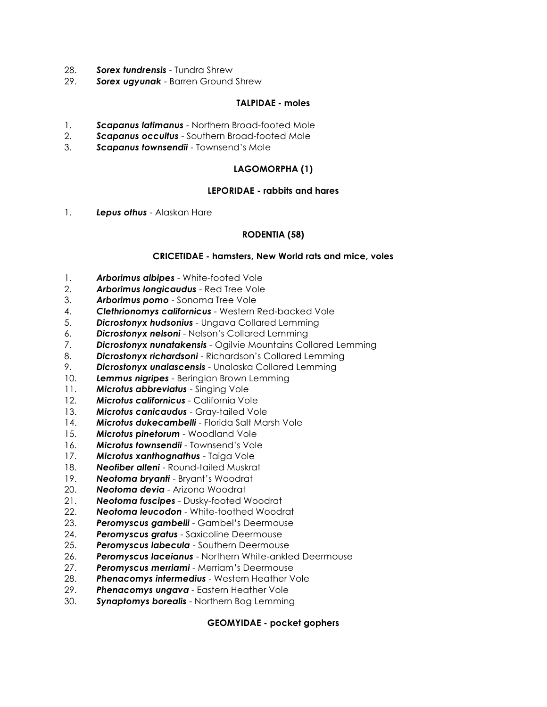- 28. *Sorex tundrensis* Tundra Shrew
- 29. *Sorex ugyunak* Barren Ground Shrew

#### **TALPIDAE - moles**

- 1. *Scapanus latimanus* Northern Broad-footed Mole
- 2. *Scapanus occultus* Southern Broad-footed Mole
- 3. *Scapanus townsendii* Townsend's Mole

## **LAGOMORPHA (1)**

#### **LEPORIDAE - rabbits and hares**

1. *Lepus othus* - Alaskan Hare

## **RODENTIA (58)**

## **CRICETIDAE - hamsters, New World rats and mice, voles**

- 1. *Arborimus albipes* White-footed Vole
- 2. *Arborimus longicaudus* Red Tree Vole
- 3. *Arborimus pomo* Sonoma Tree Vole
- 4. *Clethrionomys californicus* Western Red-backed Vole
- 5. *Dicrostonyx hudsonius* Ungava Collared Lemming
- 6. *Dicrostonyx nelsoni* Nelson's Collared Lemming
- 7. *Dicrostonyx nunatakensis* Ogilvie Mountains Collared Lemming
- 8. *Dicrostonyx richardsoni* Richardson's Collared Lemming
- 9. *Dicrostonyx unalascensis* Unalaska Collared Lemming
- 10. *Lemmus nigripes* Beringian Brown Lemming
- 11. *Microtus abbreviatus* Singing Vole
- 12. *Microtus californicus* California Vole
- 13. *Microtus canicaudus* Gray-tailed Vole
- 14. *Microtus dukecambelli* Florida Salt Marsh Vole
- 15. *Microtus pinetorum* Woodland Vole
- 16. *Microtus townsendii* Townsend's Vole
- 17. *Microtus xanthognathus* Taiga Vole
- 18. *Neofiber alleni* Round-tailed Muskrat
- 19. *Neotoma bryanti* Bryant's Woodrat
- 20. *Neotoma devia* Arizona Woodrat
- 21. *Neotoma fuscipes* Dusky-footed Woodrat
- 22. *Neotoma leucodon* White-toothed Woodrat
- 23. *Peromyscus gambelii* Gambel's Deermouse
- 24. *Peromyscus gratus* Saxicoline Deermouse
- 25. *Peromyscus labecula* Southern Deermouse
- 26. *Peromyscus laceianus* Northern White-ankled Deermouse
- 27. *Peromyscus merriami* Merriam's Deermouse
- 28. *Phenacomys intermedius* Western Heather Vole
- 29. *Phenacomys ungava* Eastern Heather Vole
- 30. *Synaptomys borealis* Northern Bog Lemming

## **GEOMYIDAE - pocket gophers**